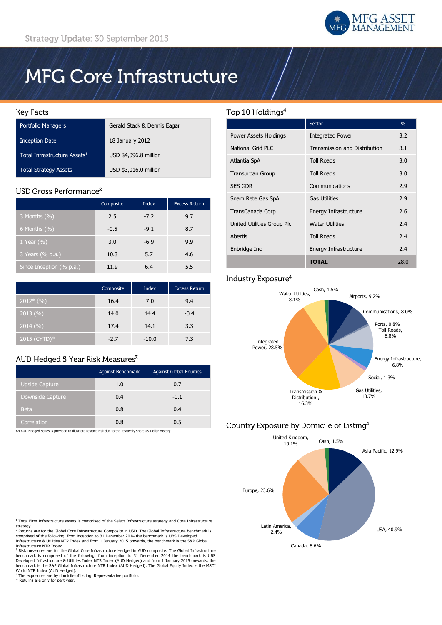

# **MFG Core Infrastructure**

## **Key Facts**

| <b>Portfolio Managers</b>                | Gerald Stack & Dennis Eagar |
|------------------------------------------|-----------------------------|
| <b>Inception Date</b>                    | 18 January 2012             |
| Total Infrastructure Assets <sup>1</sup> | USD \$4,096.8 million       |
| <b>Total Strategy Assets</b>             | USD \$3,016.0 million       |

# USD Gross Performance<sup>2</sup>

|                          | Composite | <b>Index</b> | <b>Excess Return</b> |
|--------------------------|-----------|--------------|----------------------|
| 3 Months $(\%)$          | 2.5       | $-7.2$       | 9.7                  |
| 6 Months $(\%)$          | $-0.5$    | $-9.1$       | 8.7                  |
| 1 Year $(\% )$           | 3.0       | $-6.9$       | 9.9                  |
| 3 Years (% p.a.)         | 10.3      | 5.7          | 4.6                  |
| Since Inception (% p.a.) | 11.9      | 6.4          | 5.5                  |

|                           | Composite | <b>Index</b> | <b>Excess Return</b> |
|---------------------------|-----------|--------------|----------------------|
| $2012*(\%)$               | 16.4      | 7.0          | 9.4                  |
| 2013(%)                   | 14.0      | 14.4         | $-0.4$               |
| $\overline{)2014}$ $(\%)$ | 17.4      | 14.1         | 3.3                  |
| $2015$ (CYTD)*            | $-2.7$    | $-10.0$      | 7.3                  |

# AUD Hedged 5 Year Risk Measures<sup>3</sup>

|                  | Against Benchmark | <b>Against Global Equities</b> |
|------------------|-------------------|--------------------------------|
| Upside Capture   | 1.0               | 0.7                            |
| Downside Capture | 0.4               | $-0.1$                         |
| <b>Beta</b>      | 0.8               | 0.4                            |
| Correlation      | 0.8               | 0.5                            |

An AUD Hedged series is provided to illustrate relative risk due to the relatively short US Dollar History

## <sup>1</sup> Total Firm Infrastructure assets is comprised of the Select Infrastructure strategy and Core Infrastructure strategy.<br><sup>2</sup> Returns are for the Global Core Infrastructure Composite in USD. The Global Infrastructure benchmark is

comprised of the following: from inception to 31 December 2014 the benchmark is UBS Developed Infrastructure & Utilities NTR Index and from 1 January 2015 onwards, the benchmark is the S&P Global Infrastructure NTR Index.

<sup>3</sup> Risk measures are for the Global Core Infrastructure Hedged in AUD composite. The Global Infrastructure<br>benchmark is comprised of the following: from inception to 31 December 2014 the benchmark is UBS<br>Developed Infrast World NTR Index (AUD Hedged).

Forta Tim these (Nob Treaged).<br>The exposures are by domicile of listing. Representative portfolio. \* Returns are only for part year.

# Top 10 Holdings<sup>4</sup>

|                            | Sector                        | $\%$ |
|----------------------------|-------------------------------|------|
| Power Assets Holdings      | <b>Integrated Power</b>       | 3.2  |
| National Grid PLC          | Transmission and Distribution | 3.1  |
| Atlantia SpA               | <b>Toll Roads</b>             | 3.0  |
| <b>Transurban Group</b>    | <b>Toll Roads</b>             | 3.0  |
| <b>SES GDR</b>             | Communications                | 2.9  |
| Snam Rete Gas SpA          | <b>Gas Utilities</b>          | 2.9  |
| TransCanada Corp           | Energy Infrastructure         | 2.6  |
| United Utilities Group Plc | <b>Water Utilities</b>        | 2.4  |
| Abertis                    | <b>Toll Roads</b>             | 2.4  |
| Enbridge Inc               | Energy Infrastructure         | 2.4  |
|                            | <b>TOTAL</b>                  | 28.0 |

# Industry Exposure<sup>4</sup>



# Country Exposure by Domicile of Listing<sup>4</sup>

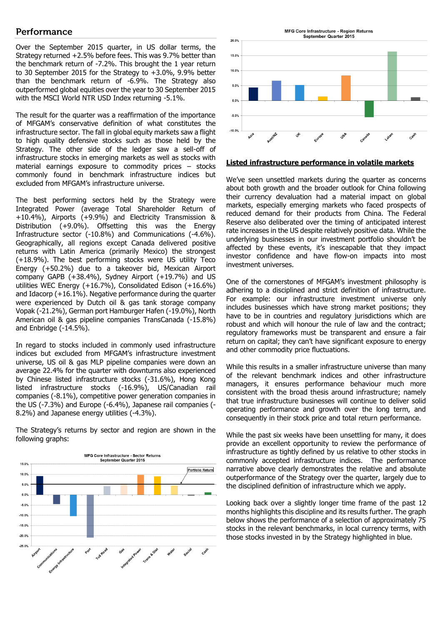## Performance

Over the September 2015 quarter, in US dollar terms, the Strategy returned +2.5% before fees. This was 9.7% better than the benchmark return of -7.2%. This brought the 1 year return to 30 September 2015 for the Strategy to +3.0%, 9.9% better than the benchmark return of -6.9%. The Strategy also outperformed global equities over the year to 30 September 2015 with the MSCI World NTR USD Index returning -5.1%.

The result for the quarter was a reaffirmation of the importance of MFGAM's conservative definition of what constitutes the infrastructure sector. The fall in global equity markets saw a flight to high quality defensive stocks such as those held by the Strategy. The other side of the ledger saw a sell-off of infrastructure stocks in emerging markets as well as stocks with material earnings exposure to commodity prices – stocks commonly found in benchmark infrastructure indices but excluded from MFGAM's infrastructure universe.

The best performing sectors held by the Strategy were Integrated Power (average Total Shareholder Return of +10.4%), Airports (+9.9%) and Electricity Transmission & Distribution (+9.0%). Offsetting this was the Energy Infrastructure sector (-10.8%) and Communications (-4.6%). Geographically, all regions except Canada delivered positive returns with Latin America (primarily Mexico) the strongest (+18.9%). The best performing stocks were US utility Teco Energy (+50.2%) due to a takeover bid, Mexican Airport company GAPB (+38.4%), Sydney Airport (+19.7%) and US utilities WEC Energy (+16.7%), Consolidated Edison (+16.6%) and Idacorp (+16.1%). Negative performance during the quarter were experienced by Dutch oil & gas tank storage company Vopak (-21.2%), German port Hamburger Hafen (-19.0%), North American oil & gas pipeline companies TransCanada (-15.8%) and Enbridge (-14.5%).

In regard to stocks included in commonly used infrastructure indices but excluded from MFGAM's infrastructure investment universe, US oil & gas MLP pipeline companies were down an average 22.4% for the quarter with downturns also experienced by Chinese listed infrastructure stocks (-31.6%), Hong Kong listed infrastructure stocks (-16.9%), US/Canadian rail companies (-8.1%), competitive power generation companies in the US (-7.3%) and Europe (-6.4%), Japanese rail companies (- 8.2%) and Japanese energy utilities (-4.3%).

The Strategy's returns by sector and region are shown in the following graphs:





## **Listed infrastructure performance in volatile markets**

We've seen unsettled markets during the quarter as concerns about both growth and the broader outlook for China following their currency devaluation had a material impact on global markets, especially emerging markets who faced prospects of reduced demand for their products from China. The Federal Reserve also deliberated over the timing of anticipated interest rate increases in the US despite relatively positive data. While the underlying businesses in our investment portfolio shouldn't be affected by these events, it's inescapable that they impact investor confidence and have flow-on impacts into most investment universes.

One of the cornerstones of MFGAM's investment philosophy is adhering to a disciplined and strict definition of infrastructure. For example: our infrastructure investment universe only includes businesses which have strong market positions; they have to be in countries and regulatory jurisdictions which are robust and which will honour the rule of law and the contract; regulatory frameworks must be transparent and ensure a fair return on capital; they can't have significant exposure to energy and other commodity price fluctuations.

While this results in a smaller infrastructure universe than many of the relevant benchmark indices and other infrastructure managers, it ensures performance behaviour much more consistent with the broad thesis around infrastructure; namely that true infrastructure businesses will continue to deliver solid operating performance and growth over the long term, and consequently in their stock price and total return performance.

While the past six weeks have been unsettling for many, it does provide an excellent opportunity to review the performance of infrastructure as tightly defined by us relative to other stocks in commonly accepted infrastructure indices. The performance narrative above clearly demonstrates the relative and absolute outperformance of the Strategy over the quarter, largely due to the disciplined definition of infrastructure which we apply.

Looking back over a slightly longer time frame of the past 12 months highlights this discipline and its results further. The graph below shows the performance of a selection of approximately 75 stocks in the relevant benchmarks, in local currency terms, with those stocks invested in by the Strategy highlighted in blue.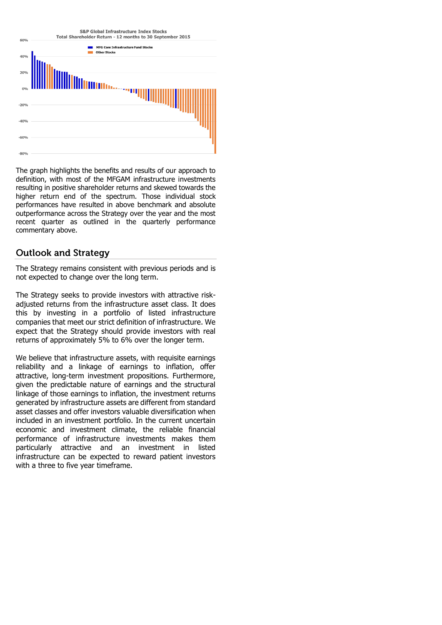## S&P Global Infrastructure Index Stocks Total Shareholder Return - 12 months to 30 September 2015



The graph highlights the benefits and results of our approach to definition, with most of the MFGAM infrastructure investments resulting in positive shareholder returns and skewed towards the higher return end of the spectrum. Those individual stock performances have resulted in above benchmark and absolute outperformance across the Strategy over the year and the most recent quarter as outlined in the quarterly performance commentary above.

# **Outlook and Strategy**

The Strategy remains consistent with previous periods and is not expected to change over the long term.

The Strategy seeks to provide investors with attractive riskadjusted returns from the infrastructure asset class. It does this by investing in a portfolio of listed infrastructure companies that meet our strict definition of infrastructure. We expect that the Strategy should provide investors with real returns of approximately 5% to 6% over the longer term.

We believe that infrastructure assets, with requisite earnings reliability and a linkage of earnings to inflation, offer attractive, long-term investment propositions. Furthermore, given the predictable nature of earnings and the structural linkage of those earnings to inflation, the investment returns generated by infrastructure assets are different from standard asset classes and offer investors valuable diversification when included in an investment portfolio. In the current uncertain economic and investment climate, the reliable financial performance of infrastructure investments makes them particularly attractive and an investment in listed infrastructure can be expected to reward patient investors with a three to five year timeframe.